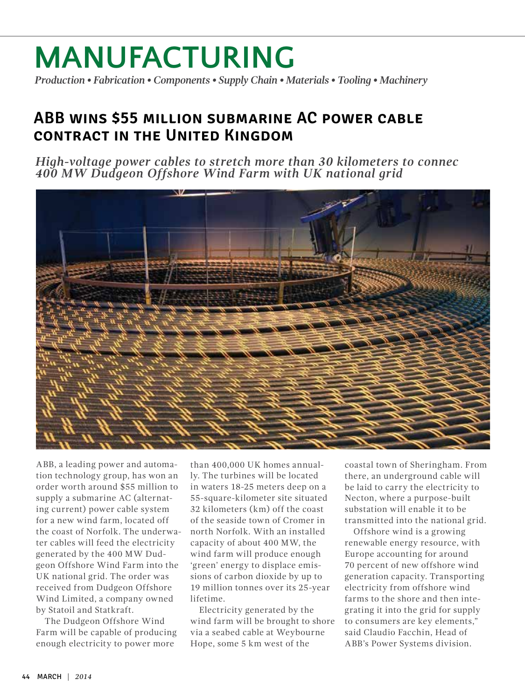# **Manufacturing**

*Production • Fabrication • Components • Supply Chain • Materials • Tooling • Machinery*

### **ABB wins \$55 million submarine AC power cable contract in the United Kingdom**

*High-voltage power cables to stretch more than 30 kilometers to connec 400 MW Dudgeon Offshore Wind Farm with UK national grid*



ABB, a leading power and automation technology group, has won an order worth around \$55 million to supply a submarine AC (alternating current) power cable system for a new wind farm, located off the coast of Norfolk. The underwater cables will feed the electricity generated by the 400 MW Dudgeon Offshore Wind Farm into the UK national grid. The order was received from Dudgeon Offshore Wind Limited, a company owned by Statoil and Statkraft.

The Dudgeon Offshore Wind Farm will be capable of producing enough electricity to power more

than 400,000 UK homes annually. The turbines will be located in waters 18-25 meters deep on a 55-square-kilometer site situated 32 kilometers (km) off the coast of the seaside town of Cromer in north Norfolk. With an installed capacity of about 400 MW, the wind farm will produce enough 'green' energy to displace emissions of carbon dioxide by up to 19 million tonnes over its 25-year lifetime.

Electricity generated by the wind farm will be brought to shore via a seabed cable at Weybourne Hope, some 5 km west of the

coastal town of Sheringham. From there, an underground cable will be laid to carry the electricity to Necton, where a purpose-built substation will enable it to be transmitted into the national grid.

Offshore wind is a growing renewable energy resource, with Europe accounting for around 70 percent of new offshore wind generation capacity. Transporting electricity from offshore wind farms to the shore and then integrating it into the grid for supply to consumers are key elements," said Claudio Facchin, Head of ABB's Power Systems division.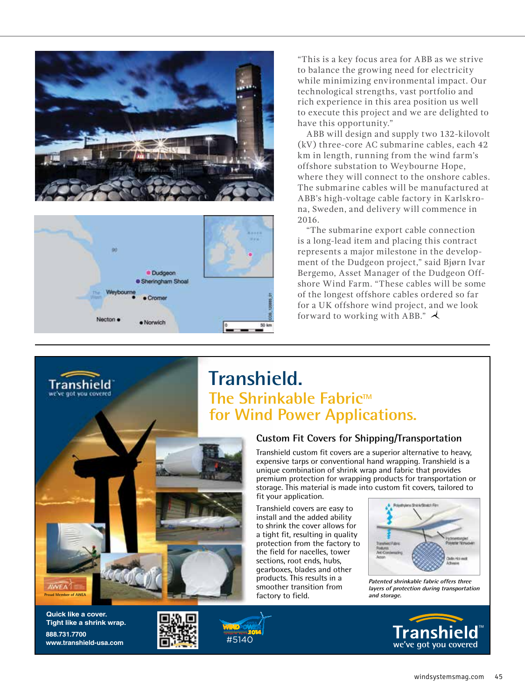



"This is a key focus area for ABB as we strive to balance the growing need for electricity while minimizing environmental impact. Our technological strengths, vast portfolio and rich experience in this area position us well to execute this project and we are delighted to have this opportunity."

ABB will design and supply two 132-kilovolt (kV) three-core AC submarine cables, each 42 km in length, running from the wind farm's offshore substation to Weybourne Hope, where they will connect to the onshore cables. The submarine cables will be manufactured at ABB's high-voltage cable factory in Karlskrona, Sweden, and delivery will commence in 2016.

"The submarine export cable connection is a long-lead item and placing this contract represents a major milestone in the development of the Dudgeon project," said Bjørn Ivar Bergemo, Asset Manager of the Dudgeon Offshore Wind Farm. "These cables will be some of the longest offshore cables ordered so far for a UK offshore wind project, and we look forward to working with ABB."

### **Transhield. The Shrinkable Fabric™ for Wind Power Applications.**

#### **Custom Fit Covers for Shipping/Transportation**

Transhield custom fit covers are a superior alternative to heavy, expensive tarps or conventional hand wrapping. Transhield is a unique combination of shrink wrap and fabric that provides premium protection for wrapping products for transportation or storage. This material is made into custom fit covers, tailored to fit your application.

Transhield covers are easy to install and the added ability to shrink the cover allows for a tight fit, resulting in quality protection from the factory to the field for nacelles, tower sections, root ends, hubs, gearboxes, blades and other products. This results in a smoother transition from **f**actory to field. **and storage.** *and storage.* 



**Patented shrinkable fabric offers three layers of protection during transportation**



**Quick like a cover.** 

Transhield

**Tight like a shrink wrap. 888.731.7700**





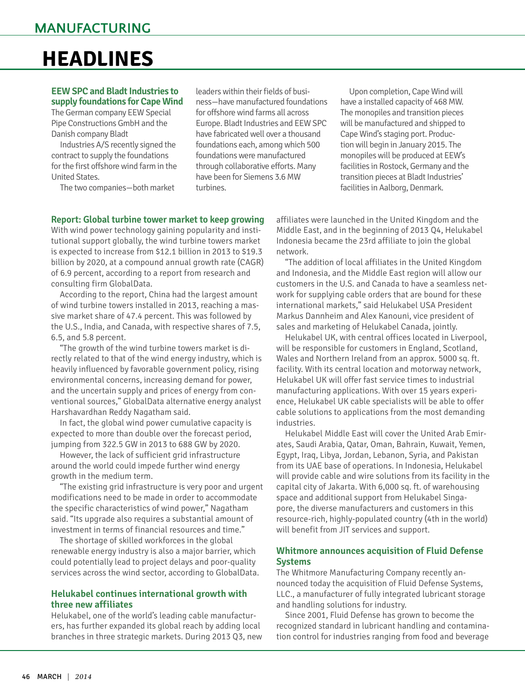## **HEADLINES**

#### **EEW SPC and Bladt Industries to supply foundations for Cape Wind**

The German company EEW Special Pipe Constructions GmbH and the Danish company Bladt

Industries A/S recently signed the contract to supply the foundations for the first offshore wind farm in the United States.

The two companies—both market

leaders within their fields of business—have manufactured foundations for offshore wind farms all across Europe. Bladt Industries and EEW SPC have fabricated well over a thousand foundations each, among which 500 foundations were manufactured through collaborative efforts. Many have been for Siemens 3.6 MW turbines.

Upon completion, Cape Wind will have a installed capacity of 468 MW. The monopiles and transition pieces will be manufactured and shipped to Cape Wind's staging port. Production will begin in January 2015. The monopiles will be produced at EEW's facilities in Rostock, Germany and the transition pieces at Bladt Industries' facilities in Aalborg, Denmark.

#### **Report: Global turbine tower market to keep growing**

With wind power technology gaining popularity and institutional support globally, the wind turbine towers market is expected to increase from \$12.1 billion in 2013 to \$19.3 billion by 2020, at a compound annual growth rate (CAGR) of 6.9 percent, according to a report from research and consulting firm GlobalData.

According to the report, China had the largest amount of wind turbine towers installed in 2013, reaching a massive market share of 47.4 percent. This was followed by the U.S., India, and Canada, with respective shares of 7.5, 6.5, and 5.8 percent.

"The growth of the wind turbine towers market is directly related to that of the wind energy industry, which is heavily influenced by favorable government policy, rising environmental concerns, increasing demand for power, and the uncertain supply and prices of energy from conventional sources," GlobalData alternative energy analyst Harshavardhan Reddy Nagatham said.

In fact, the global wind power cumulative capacity is expected to more than double over the forecast period, jumping from 322.5 GW in 2013 to 688 GW by 2020.

However, the lack of sufficient grid infrastructure around the world could impede further wind energy growth in the medium term.

"The existing grid infrastructure is very poor and urgent modifications need to be made in order to accommodate the specific characteristics of wind power," Nagatham said. "Its upgrade also requires a substantial amount of investment in terms of financial resources and time."

The shortage of skilled workforces in the global renewable energy industry is also a major barrier, which could potentially lead to project delays and poor-quality services across the wind sector, according to GlobalData.

#### **Helukabel continues international growth with three new affiliates**

Helukabel, one of the world's leading cable manufacturers, has further expanded its global reach by adding local branches in three strategic markets. During 2013 Q3, new affiliates were launched in the United Kingdom and the Middle East, and in the beginning of 2013 Q4, Helukabel Indonesia became the 23rd affiliate to join the global network.

"The addition of local affiliates in the United Kingdom and Indonesia, and the Middle East region will allow our customers in the U.S. and Canada to have a seamless network for supplying cable orders that are bound for these international markets," said Helukabel USA President Markus Dannheim and Alex Kanouni, vice president of sales and marketing of Helukabel Canada, jointly.

Helukabel UK, with central offices located in Liverpool, will be responsible for customers in England, Scotland, Wales and Northern Ireland from an approx. 5000 sq. ft. facility. With its central location and motorway network, Helukabel UK will offer fast service times to industrial manufacturing applications. With over 15 years experience, Helukabel UK cable specialists will be able to offer cable solutions to applications from the most demanding industries.

Helukabel Middle East will cover the United Arab Emirates, Saudi Arabia, Qatar, Oman, Bahrain, Kuwait, Yemen, Egypt, Iraq, Libya, Jordan, Lebanon, Syria, and Pakistan from its UAE base of operations. In Indonesia, Helukabel will provide cable and wire solutions from its facility in the capital city of Jakarta. With 6,000 sq. ft. of warehousing space and additional support from Helukabel Singapore, the diverse manufacturers and customers in this resource-rich, highly-populated country (4th in the world) will benefit from JIT services and support.

#### **Whitmore announces acquisition of Fluid Defense Systems**

The Whitmore Manufacturing Company recently announced today the acquisition of Fluid Defense Systems, LLC., a manufacturer of fully integrated lubricant storage and handling solutions for industry.

Since 2001, Fluid Defense has grown to become the recognized standard in lubricant handling and contamination control for industries ranging from food and beverage